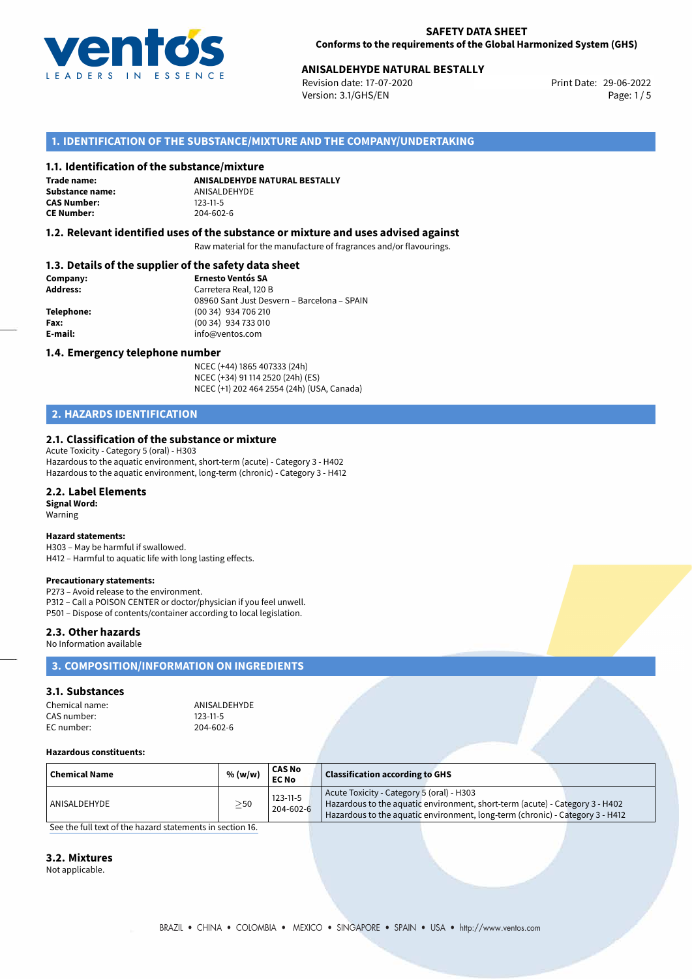

# **ANISALDEHYDE NATURAL BESTALLY**<br>
Revision date: 17-07-2020<br> **Print Date: 29-06-2022**

Revision date: 17-07-2020 Version: 3.1/GHS/EN Page: 1 / 5

## **1. IDENTIFICATION OF THE SUBSTANCE/MIXTURE AND THE COMPANY/UNDERTAKING**

### **1.1. Identification of the substance/mixture**

**Trade name: Substance name:** ANISALDEHYDE<br> **CAS Number:** 123-11-5 **CAS Number: CE Number:** 204-602-6

**ANISALDEHYDE NATURAL BESTALLY**

### **1.2. Relevant identified uses of the substance or mixture and uses advised against**

Raw material for the manufacture of fragrances and/or flavourings.

### **1.3. Details of the supplier of the safety data sheet**

| Company:        | <b>Ernesto Ventós SA</b>                    |
|-----------------|---------------------------------------------|
| <b>Address:</b> | Carretera Real, 120 B                       |
|                 | 08960 Sant Just Desvern - Barcelona - SPAIN |
| Telephone:      | (00 34) 934 706 210                         |
| Fax:            | (00 34) 934 733 010                         |
| E-mail:         | info@ventos.com                             |
|                 |                                             |

### **1.4. Emergency telephone number**

NCEC (+44) 1865 407333 (24h) NCEC (+34) 91 114 2520 (24h) (ES) NCEC (+1) 202 464 2554 (24h) (USA, Canada)

## **2. HAZARDS IDENTIFICATION**

### **2.1. Classification of the substance or mixture**

Acute Toxicity - Category 5 (oral) - H303 Hazardous to the aquatic environment, short-term (acute) - Category 3 - H402 Hazardous to the aquatic environment, long-term (chronic) - Category 3 - H412

### **2.2. Label Elements**

**Signal Word:** Warning

#### **Hazard statements:**

H303 – May be harmful if swallowed. H412 – Harmful to aquatic life with long lasting effects.

#### **Precautionary statements:**

P273 – Avoid release to the environment. P312 – Call a POISON CENTER or doctor/physician if you feel unwell. P501 – Dispose of contents/container according to local legislation.

### **2.3. Other hazards**

No Information available

## **3. COMPOSITION/INFORMATION ON INGREDIENTS**

## **3.1. Substances**

| Chemical name: | ANISALDEHYDE   |
|----------------|----------------|
| CAS number:    | $123 - 11 - 5$ |
| EC number:     | 204-602-6      |

#### **Hazardous constituents:**

| Chemical Name | % (w/w)   | CAS No<br><b>EC No</b>      | <b>Classification according to GHS</b>                                                                                                                                                                     |
|---------------|-----------|-----------------------------|------------------------------------------------------------------------------------------------------------------------------------------------------------------------------------------------------------|
| ANISALDEHYDE  | $\geq$ 50 | $123 - 11 - 5$<br>204-602-6 | Acute Toxicity - Category 5 (oral) - H303<br>Hazardous to the aquatic environment, short-term (acute) - Category 3 - H402<br>Hazardous to the aquatic environment, long-term (chronic) - Category 3 - H412 |

[See the full text of the hazard statements in section 16.](#page--1-0)

## **3.2. Mixtures**

Not applicable.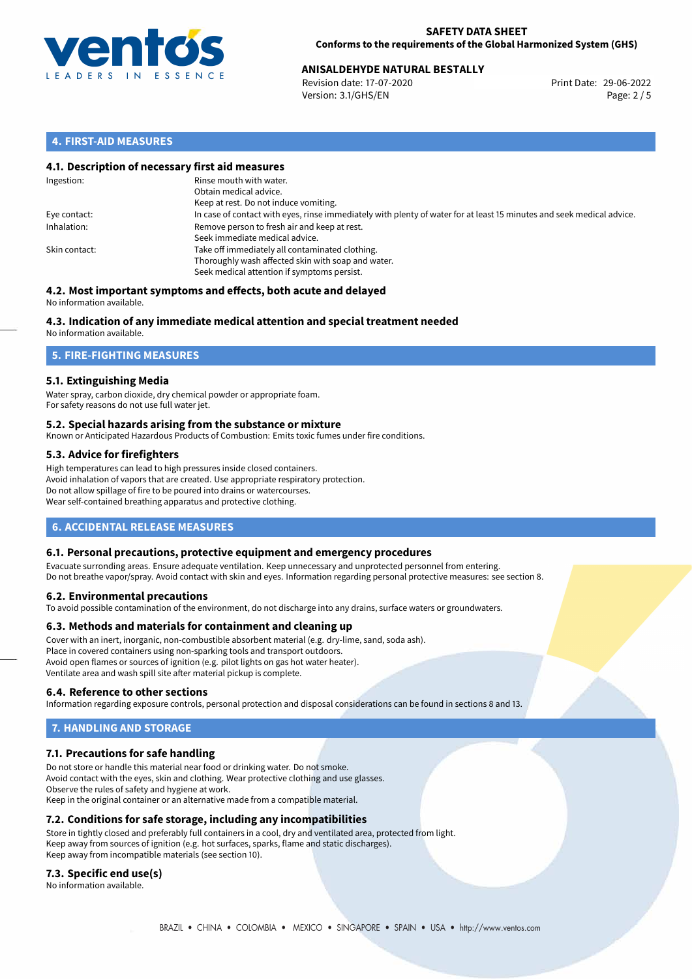

# **ANISALDEHYDE NATURAL BESTALLY**<br>
Revision date: 17-07-2020<br> **Print Date: 29-06-2022**

Revision date: 17-07-2020 Version: 3.1/GHS/EN Page: 2 / 5

## **4. FIRST-AID MEASURES**

### **4.1. Description of necessary first aid measures**

| Ingestion:    | Rinse mouth with water.<br>Obtain medical advice.<br>Keep at rest. Do not induce vomiting.                                                           |
|---------------|------------------------------------------------------------------------------------------------------------------------------------------------------|
| Eye contact:  | In case of contact with eyes, rinse immediately with plenty of water for at least 15 minutes and seek medical advice.                                |
| Inhalation:   | Remove person to fresh air and keep at rest.<br>Seek immediate medical advice.                                                                       |
| Skin contact: | Take off immediately all contaminated clothing.<br>Thoroughly wash affected skin with soap and water.<br>Seek medical attention if symptoms persist. |

#### **4.2. Most important symptoms and effects, both acute and delayed** No information available.

# **4.3. Indication of any immediate medical attention and special treatment needed**

No information available.

## **5. FIRE-FIGHTING MEASURES**

## **5.1. Extinguishing Media**

Water spray, carbon dioxide, dry chemical powder or appropriate foam. For safety reasons do not use full water jet.

### **5.2. Special hazards arising from the substance or mixture**

Known or Anticipated Hazardous Products of Combustion: Emits toxic fumes under fire conditions.

## **5.3. Advice for firefighters**

High temperatures can lead to high pressures inside closed containers. Avoid inhalation of vapors that are created. Use appropriate respiratory protection. Do not allow spillage of fire to be poured into drains or watercourses. Wear self-contained breathing apparatus and protective clothing.

## **6. ACCIDENTAL RELEASE MEASURES**

### **6.1. Personal precautions, protective equipment and emergency procedures**

Evacuate surronding areas. Ensure adequate ventilation. Keep unnecessary and unprotected personnel from entering. Do not breathe vapor/spray. Avoid contact with skin and eyes. Information regarding personal protective measures: see section 8.

### **6.2. Environmental precautions**

To avoid possible contamination of the environment, do not discharge into any drains, surface waters or groundwaters.

### **6.3. Methods and materials for containment and cleaning up**

Cover with an inert, inorganic, non-combustible absorbent material (e.g. dry-lime, sand, soda ash). Place in covered containers using non-sparking tools and transport outdoors. Avoid open flames or sources of ignition (e.g. pilot lights on gas hot water heater). Ventilate area and wash spill site after material pickup is complete.

### **6.4. Reference to other sections**

Information regarding exposure controls, personal protection and disposal considerations can be found in sections 8 and 13.

# **7. HANDLING AND STORAGE**

### **7.1. Precautions for safe handling**

Do not store or handle this material near food or drinking water. Do not smoke. Avoid contact with the eyes, skin and clothing. Wear protective clothing and use glasses. Observe the rules of safety and hygiene at work. Keep in the original container or an alternative made from a compatible material.

### **7.2. Conditions for safe storage, including any incompatibilities**

Store in tightly closed and preferably full containers in a cool, dry and ventilated area, protected from light. Keep away from sources of ignition (e.g. hot surfaces, sparks, flame and static discharges). Keep away from incompatible materials (see section 10).

### **7.3. Specific end use(s)**

No information available.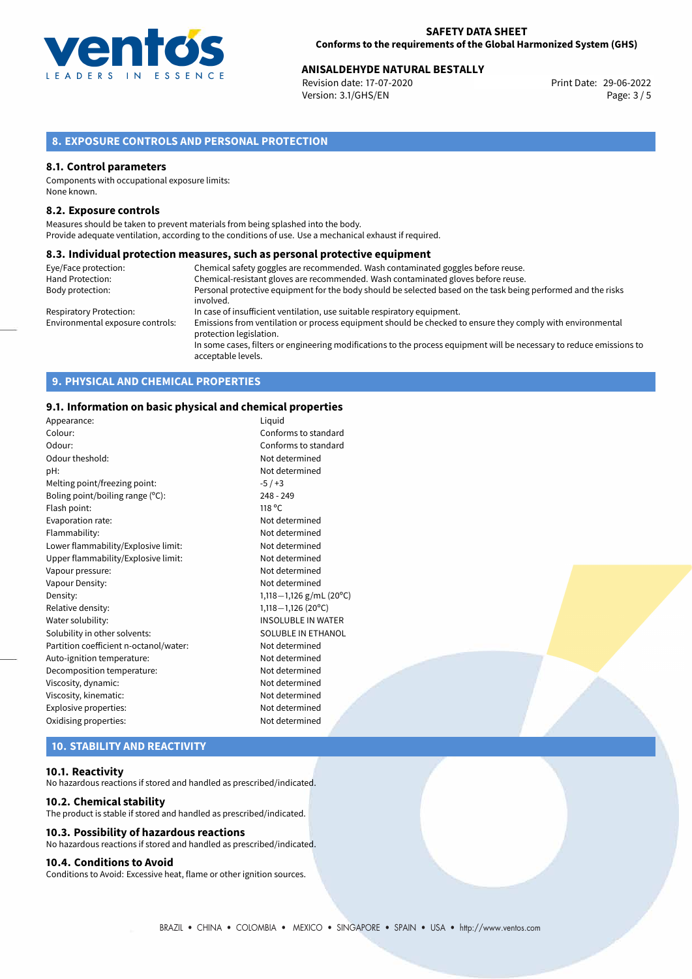

# **ANISALDEHYDE NATURAL BESTALLY**<br> **29-06-2022** Print Date: 29-06-2022 Print Date: 29-06-2022

Revision date: 17-07-2020 Version: 3.1/GHS/EN Page: 3 / 5

## **8. EXPOSURE CONTROLS AND PERSONAL PROTECTION**

### **8.1. Control parameters**

Components with occupational exposure limits: None known.

### **8.2. Exposure controls**

Measures should be taken to prevent materials from being splashed into the body. Provide adequate ventilation, according to the conditions of use. Use a mechanical exhaust if required.

### **8.3. Individual protection measures, such as personal protective equipment**

| Eye/Face protection:             | Chemical safety goggles are recommended. Wash contaminated goggles before reuse.                                                            |
|----------------------------------|---------------------------------------------------------------------------------------------------------------------------------------------|
| Hand Protection:                 | Chemical-resistant gloves are recommended. Wash contaminated gloves before reuse.                                                           |
| Body protection:                 | Personal protective equipment for the body should be selected based on the task being performed and the risks                               |
|                                  | involved.                                                                                                                                   |
| <b>Respiratory Protection:</b>   | In case of insufficient ventilation, use suitable respiratory equipment.                                                                    |
| Environmental exposure controls: | Emissions from ventilation or process equipment should be checked to ensure they comply with environmental<br>protection legislation.       |
|                                  | In some cases, filters or engineering modifications to the process equipment will be necessary to reduce emissions to<br>acceptable levels. |

## **9. PHYSICAL AND CHEMICAL PROPERTIES**

### **9.1. Information on basic physical and chemical properties**

| Appearance:                            | Liguid                    |
|----------------------------------------|---------------------------|
| Colour:                                | Conforms to standard      |
| Odour:                                 | Conforms to standard      |
| Odour theshold:                        | Not determined            |
| pH:                                    | Not determined            |
| Melting point/freezing point:          | $-5/ +3$                  |
| Boling point/boiling range (°C):       | $248 - 249$               |
| Flash point:                           | 118 °C                    |
| Evaporation rate:                      | Not determined            |
| Flammability:                          | Not determined            |
| Lower flammability/Explosive limit:    | Not determined            |
| Upper flammability/Explosive limit:    | Not determined            |
| Vapour pressure:                       | Not determined            |
| Vapour Density:                        | Not determined            |
| Density:                               | 1,118 - 1,126 g/mL (20°C) |
| Relative density:                      | $1,118 - 1,126$ (20°C)    |
| Water solubility:                      | <b>INSOLUBLE IN WATER</b> |
| Solubility in other solvents:          | SOLUBLE IN ETHANOL        |
| Partition coefficient n-octanol/water: | Not determined            |
| Auto-ignition temperature:             | Not determined            |
| Decomposition temperature:             | Not determined            |
| Viscosity, dynamic:                    | Not determined            |
| Viscosity, kinematic:                  | Not determined            |
| Explosive properties:                  | Not determined            |
| Oxidising properties:                  | Not determined            |
|                                        |                           |

## **10. STABILITY AND REACTIVITY**

### **10.1. Reactivity**

No hazardous reactions if stored and handled as prescribed/indicated.

#### **10.2. Chemical stability**

The product is stable if stored and handled as prescribed/indicated.

### **10.3. Possibility of hazardous reactions**

No hazardous reactions if stored and handled as prescribed/indicated.

## **10.4. Conditions to Avoid**

Conditions to Avoid: Excessive heat, flame or other ignition sources.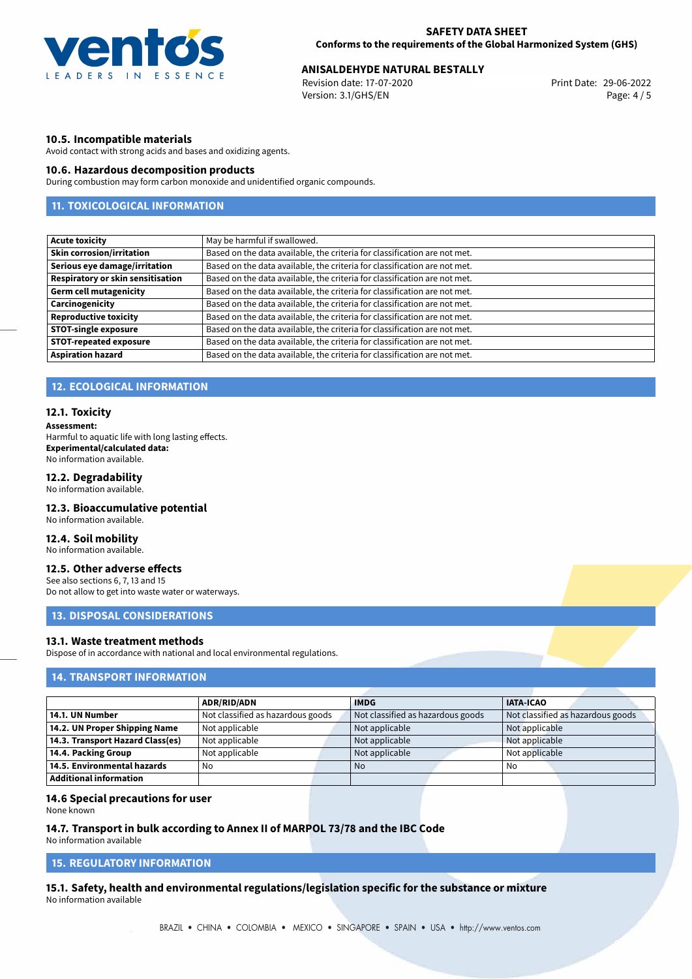

# **ANISALDEHYDE NATURAL BESTALLY**<br>29-06-2022 **Print Date: 17-07-2020** Print Date: 29-06-2022

Revision date: 17-07-2020 Version: 3.1/GHS/EN Page: 4 / 5

### **10.5. Incompatible materials**

Avoid contact with strong acids and bases and oxidizing agents.

### **10.6. Hazardous decomposition products**

During combustion may form carbon monoxide and unidentified organic compounds.

## **11. TOXICOLOGICAL INFORMATION**

| <b>Acute toxicity</b>             | May be harmful if swallowed.                                              |
|-----------------------------------|---------------------------------------------------------------------------|
| <b>Skin corrosion/irritation</b>  | Based on the data available, the criteria for classification are not met. |
| Serious eye damage/irritation     | Based on the data available, the criteria for classification are not met. |
| Respiratory or skin sensitisation | Based on the data available, the criteria for classification are not met. |
| <b>Germ cell mutagenicity</b>     | Based on the data available, the criteria for classification are not met. |
| Carcinogenicity                   | Based on the data available, the criteria for classification are not met. |
| <b>Reproductive toxicity</b>      | Based on the data available, the criteria for classification are not met. |
| <b>STOT-single exposure</b>       | Based on the data available, the criteria for classification are not met. |
| <b>STOT-repeated exposure</b>     | Based on the data available, the criteria for classification are not met. |
| <b>Aspiration hazard</b>          | Based on the data available, the criteria for classification are not met. |

### **12. ECOLOGICAL INFORMATION**

### **12.1. Toxicity**

**Assessment:**

Harmful to aquatic life with long lasting effects. **Experimental/calculated data:** No information available.

### **12.2. Degradability**

No information available.

### **12.3. Bioaccumulative potential**

No information available.

### **12.4. Soil mobility**

No information available.

## **12.5. Other adverse effects**

See also sections 6, 7, 13 and 15 Do not allow to get into waste water or waterways.

### **13. DISPOSAL CONSIDERATIONS**

## **13.1. Waste treatment methods**

Dispose of in accordance with national and local environmental regulations.

## **14. TRANSPORT INFORMATION**

|                                    | <b>ADR/RID/ADN</b>                | <b>IMDG</b>                       | <b>IATA-ICAO</b>                  |
|------------------------------------|-----------------------------------|-----------------------------------|-----------------------------------|
| 14.1. UN Number                    | Not classified as hazardous goods | Not classified as hazardous goods | Not classified as hazardous goods |
| 14.2. UN Proper Shipping Name      | Not applicable                    | Not applicable                    | Not applicable                    |
| 14.3. Transport Hazard Class(es)   | Not applicable                    | Not applicable                    | Not applicable                    |
| 14.4. Packing Group                | Not applicable                    | Not applicable                    | Not applicable                    |
| $\mid$ 14.5. Environmental hazards | No                                | <b>No</b>                         | No                                |
| Additional information             |                                   |                                   |                                   |

### **14.6 Special precautions for user**

None known

### **14.7. Transport in bulk according to Annex II of MARPOL 73/78 and the IBC Code**

No information available

# **15. REGULATORY INFORMATION**

**15.1. Safety, health and environmental regulations/legislation specific for the substance or mixture** No information available